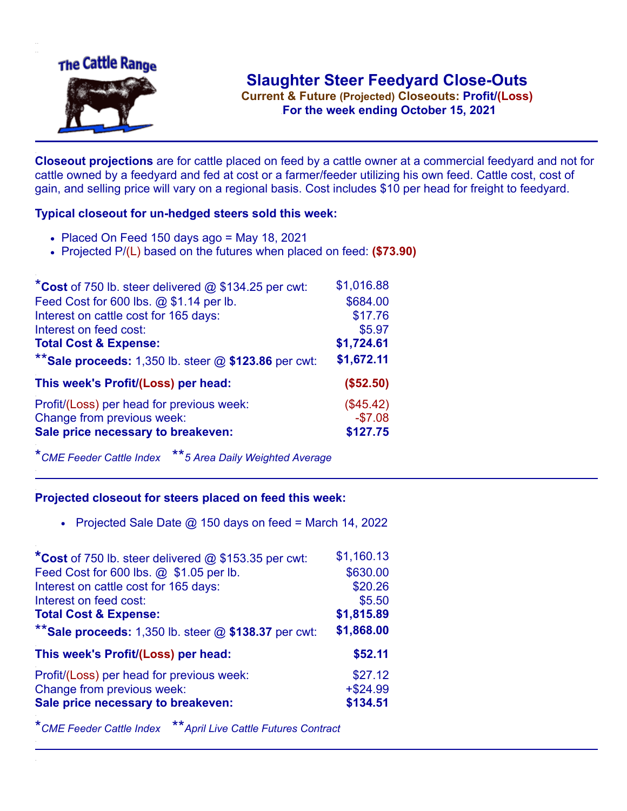

**Current & Future (Projected) Closeouts: Profit/(Loss)** .**For the week ending October 15, 2021**

**Closeout projections** are for cattle placed on feed by a cattle owner at a commercial feedyard and not for cattle owned by a feedyard and fed at cost or a farmer/feeder utilizing his own feed. Cattle cost, cost of gain, and selling price will vary on a regional basis. Cost includes \$10 per head for freight to feedyard.

## **Typical closeout for un-hedged steers sold this week:**

- $\bullet$  Placed On Feed 150 days ago = May 18, 2021
- Projected P/(L) based on the futures when placed on feed: **(\$73.90)**

| *Cost of 750 lb. steer delivered $@$ \$134.25 per cwt:  | \$1,016.88 |
|---------------------------------------------------------|------------|
| Feed Cost for 600 lbs. @ \$1.14 per lb.                 | \$684.00   |
| Interest on cattle cost for 165 days:                   | \$17.76    |
| Interest on feed cost:                                  | \$5.97     |
| <b>Total Cost &amp; Expense:</b>                        | \$1,724.61 |
| ** Sale proceeds: 1,350 lb. steer $@$ \$123.86 per cwt: | \$1,672.11 |
| This week's Profit/(Loss) per head:                     | (\$52.50)  |
| Profit/(Loss) per head for previous week:               | (\$45.42)  |
| Change from previous week:                              | $-$7.08$   |
| Sale price necessary to breakeven:                      | \$127.75   |

\**CME Feeder Cattle Index* \*\**5 Area Daily Weighted Average*

## **Projected closeout for steers placed on feed this week:**

• Projected Sale Date  $@$  150 days on feed = March 14, 2022

| *Cost of 750 lb. steer delivered @ \$153.35 per cwt:    | \$1,160.13 |
|---------------------------------------------------------|------------|
| Feed Cost for 600 lbs. @ \$1.05 per lb.                 | \$630.00   |
| Interest on cattle cost for 165 days:                   | \$20.26    |
| Interest on feed cost:                                  | \$5.50     |
| <b>Total Cost &amp; Expense:</b>                        | \$1,815.89 |
| ** Sale proceeds: 1,350 lb. steer $@$ \$138.37 per cwt: | \$1,868.00 |
| This week's Profit/(Loss) per head:                     | \$52.11    |
| Profit/(Loss) per head for previous week:               | \$27.12    |
| Change from previous week:                              | $+ $24.99$ |
| Sale price necessary to breakeven:                      | \$134.51   |

\**CME Feeder Cattle Index* \*\**April Live Cattle Futures Contract*